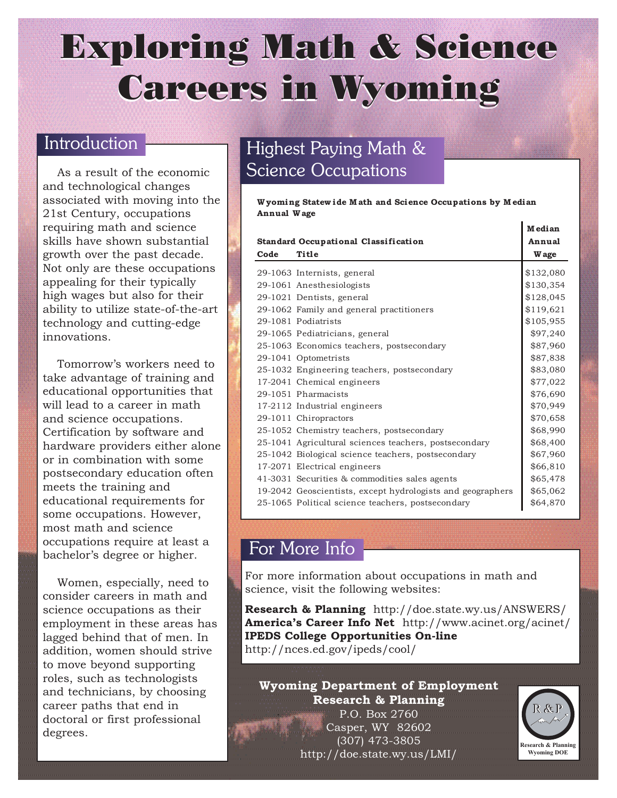# Exploring Math & Science Careers in Wyoming

### Introduction

As a result of the economic and technological changes associated with moving into the 21st Century, occupations requiring math and science skills have shown substantial growth over the past decade. Not only are these occupations appealing for their typically high wages but also for their ability to utilize state-of-the-art technology and cutting-edge innovations.

Tomorrow's workers need to take advantage of training and educational opportunities that will lead to a career in math and science occupations. Certification by software and hardware providers either alone or in combination with some postsecondary education often meets the training and educational requirements for some occupations. However, most math and science occupations require at least a bachelor's degree or higher.

Women, especially, need to consider careers in math and science occupations as their employment in these areas has lagged behind that of men. In addition, women should strive to move beyond supporting roles, such as technologists and technicians, by choosing career paths that end in doctoral or first professional degrees.

# Highest Paying Math & **Science Occupations**

**W yoming Statew ide M ath and Science Occupations by M edian Annual W age**

|                                      |                                                            | w curan<br>Annual |
|--------------------------------------|------------------------------------------------------------|-------------------|
| Standard Occupational Classification |                                                            |                   |
| Code                                 | Title                                                      | W age             |
|                                      | 29-1063 Internists, general                                | \$132,080         |
|                                      | 29-1061 Anesthesiologists                                  | \$130,354         |
|                                      | 29-1021 Dentists, general                                  | \$128,045         |
|                                      | 29-1062 Family and general practitioners                   | \$119,621         |
|                                      | 29-1081 Podiatrists                                        | \$105,955         |
|                                      | 29-1065 Pediatricians, general                             | \$97,240          |
|                                      | 25-1063 Economics teachers, postsecondary                  | \$87,960          |
|                                      | 29-1041 Optometrists                                       | \$87,838          |
|                                      | 25-1032 Engineering teachers, postsecondary                | \$83,080          |
|                                      | 17-2041 Chemical engineers                                 | \$77,022          |
|                                      | 29-1051 Pharmacists                                        | \$76,690          |
|                                      | 17-2112 Industrial engineers                               | \$70,949          |
|                                      | 29-1011 Chiropractors                                      | \$70,658          |
|                                      | 25-1052 Chemistry teachers, postsecondary                  | \$68,990          |
|                                      | 25-1041 Agricultural sciences teachers, postsecondary      | \$68,400          |
|                                      | 25-1042 Biological science teachers, postsecondary         | \$67,960          |
|                                      | 17-2071 Electrical engineers                               | \$66,810          |
|                                      | 41-3031 Securities & commodities sales agents              | \$65,478          |
|                                      | 19-2042 Geoscientists, except hydrologists and geographers | \$65,062          |
|                                      | 25-1065 Political science teachers, postsecondary          | \$64,870          |

### For More Info

For more information about occupations in math and science, visit the following websites:

**Research & Planning** http://doe.state.wy.us/ANSWERS/ **America's Career Info Net** http://www.acinet.org/acinet/ **IPEDS College Opportunities On-line** http://nces.ed.gov/ipeds/cool/

### **Wyoming Department of Employment Research & Planning**

P.O. Box 2760 Casper, WY 82602 (307) 473-3805 http://doe.state.wy.us/LMI/



**M edian**